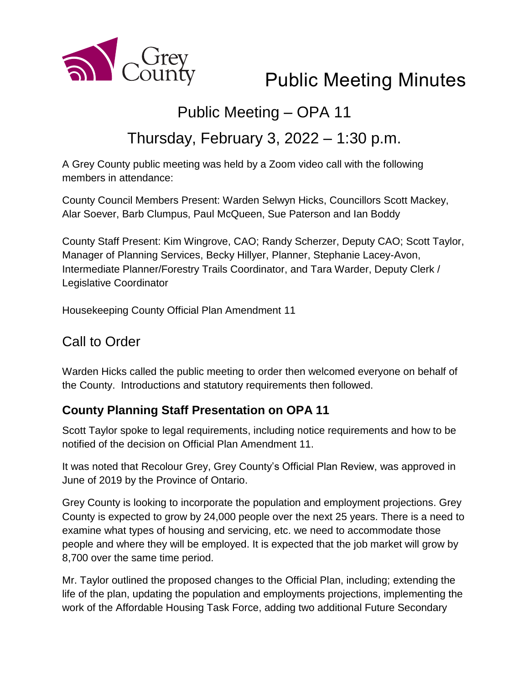

# Public Meeting Minutes

# Public Meeting – OPA 11

# Thursday, February 3, 2022 – 1:30 p.m.

A Grey County public meeting was held by a Zoom video call with the following members in attendance:

County Council Members Present: Warden Selwyn Hicks, Councillors Scott Mackey, Alar Soever, Barb Clumpus, Paul McQueen, Sue Paterson and Ian Boddy

County Staff Present: Kim Wingrove, CAO; Randy Scherzer, Deputy CAO; Scott Taylor, Manager of Planning Services, Becky Hillyer, Planner, Stephanie Lacey-Avon, Intermediate Planner/Forestry Trails Coordinator, and Tara Warder, Deputy Clerk / Legislative Coordinator

Housekeeping County Official Plan Amendment 11

## Call to Order

Warden Hicks called the public meeting to order then welcomed everyone on behalf of the County. Introductions and statutory requirements then followed.

### **County Planning Staff Presentation on OPA 11**

Scott Taylor spoke to legal requirements, including notice requirements and how to be notified of the decision on Official Plan Amendment 11.

It was noted that Recolour Grey, Grey County's Official Plan Review, was approved in June of 2019 by the Province of Ontario.

Grey County is looking to incorporate the population and employment projections. Grey County is expected to grow by 24,000 people over the next 25 years. There is a need to examine what types of housing and servicing, etc. we need to accommodate those people and where they will be employed. It is expected that the job market will grow by 8,700 over the same time period.

Mr. Taylor outlined the proposed changes to the Official Plan, including; extending the life of the plan, updating the population and employments projections, implementing the work of the Affordable Housing Task Force, adding two additional Future Secondary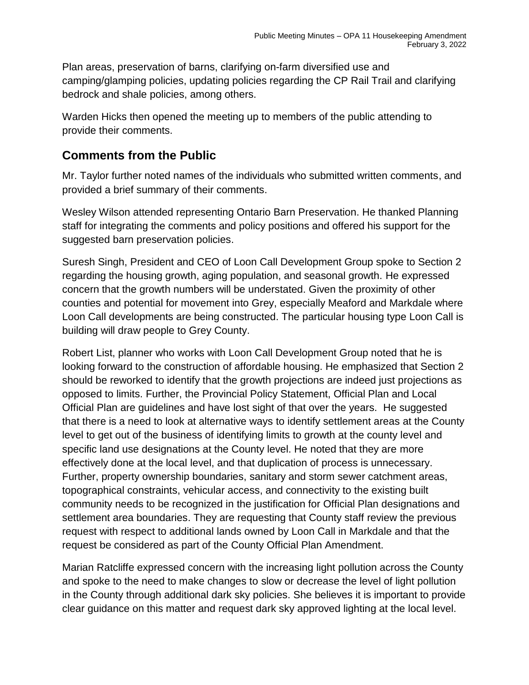Plan areas, preservation of barns, clarifying on-farm diversified use and camping/glamping policies, updating policies regarding the CP Rail Trail and clarifying bedrock and shale policies, among others.

Warden Hicks then opened the meeting up to members of the public attending to provide their comments.

#### **Comments from the Public**

Mr. Taylor further noted names of the individuals who submitted written comments, and provided a brief summary of their comments.

Wesley Wilson attended representing Ontario Barn Preservation. He thanked Planning staff for integrating the comments and policy positions and offered his support for the suggested barn preservation policies.

Suresh Singh, President and CEO of Loon Call Development Group spoke to Section 2 regarding the housing growth, aging population, and seasonal growth. He expressed concern that the growth numbers will be understated. Given the proximity of other counties and potential for movement into Grey, especially Meaford and Markdale where Loon Call developments are being constructed. The particular housing type Loon Call is building will draw people to Grey County.

Robert List, planner who works with Loon Call Development Group noted that he is looking forward to the construction of affordable housing. He emphasized that Section 2 should be reworked to identify that the growth projections are indeed just projections as opposed to limits. Further, the Provincial Policy Statement, Official Plan and Local Official Plan are guidelines and have lost sight of that over the years. He suggested that there is a need to look at alternative ways to identify settlement areas at the County level to get out of the business of identifying limits to growth at the county level and specific land use designations at the County level. He noted that they are more effectively done at the local level, and that duplication of process is unnecessary. Further, property ownership boundaries, sanitary and storm sewer catchment areas, topographical constraints, vehicular access, and connectivity to the existing built community needs to be recognized in the justification for Official Plan designations and settlement area boundaries. They are requesting that County staff review the previous request with respect to additional lands owned by Loon Call in Markdale and that the request be considered as part of the County Official Plan Amendment.

Marian Ratcliffe expressed concern with the increasing light pollution across the County and spoke to the need to make changes to slow or decrease the level of light pollution in the County through additional dark sky policies. She believes it is important to provide clear guidance on this matter and request dark sky approved lighting at the local level.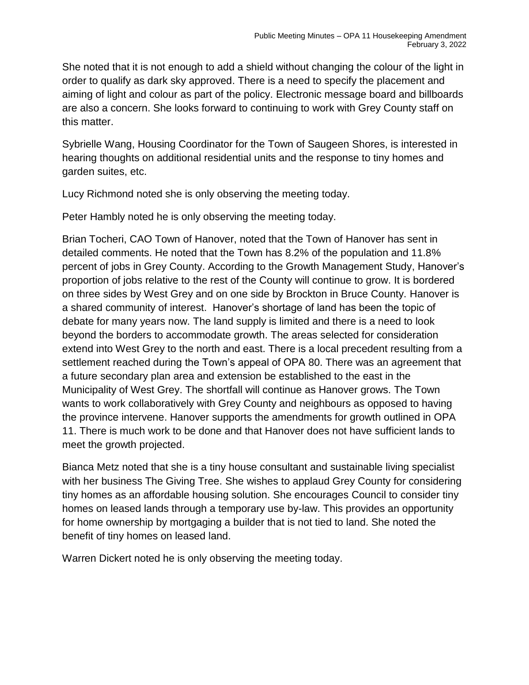She noted that it is not enough to add a shield without changing the colour of the light in order to qualify as dark sky approved. There is a need to specify the placement and aiming of light and colour as part of the policy. Electronic message board and billboards are also a concern. She looks forward to continuing to work with Grey County staff on this matter.

Sybrielle Wang, Housing Coordinator for the Town of Saugeen Shores, is interested in hearing thoughts on additional residential units and the response to tiny homes and garden suites, etc.

Lucy Richmond noted she is only observing the meeting today.

Peter Hambly noted he is only observing the meeting today.

Brian Tocheri, CAO Town of Hanover, noted that the Town of Hanover has sent in detailed comments. He noted that the Town has 8.2% of the population and 11.8% percent of jobs in Grey County. According to the Growth Management Study, Hanover's proportion of jobs relative to the rest of the County will continue to grow. It is bordered on three sides by West Grey and on one side by Brockton in Bruce County. Hanover is a shared community of interest. Hanover's shortage of land has been the topic of debate for many years now. The land supply is limited and there is a need to look beyond the borders to accommodate growth. The areas selected for consideration extend into West Grey to the north and east. There is a local precedent resulting from a settlement reached during the Town's appeal of OPA 80. There was an agreement that a future secondary plan area and extension be established to the east in the Municipality of West Grey. The shortfall will continue as Hanover grows. The Town wants to work collaboratively with Grey County and neighbours as opposed to having the province intervene. Hanover supports the amendments for growth outlined in OPA 11. There is much work to be done and that Hanover does not have sufficient lands to meet the growth projected.

Bianca Metz noted that she is a tiny house consultant and sustainable living specialist with her business The Giving Tree. She wishes to applaud Grey County for considering tiny homes as an affordable housing solution. She encourages Council to consider tiny homes on leased lands through a temporary use by-law. This provides an opportunity for home ownership by mortgaging a builder that is not tied to land. She noted the benefit of tiny homes on leased land.

Warren Dickert noted he is only observing the meeting today.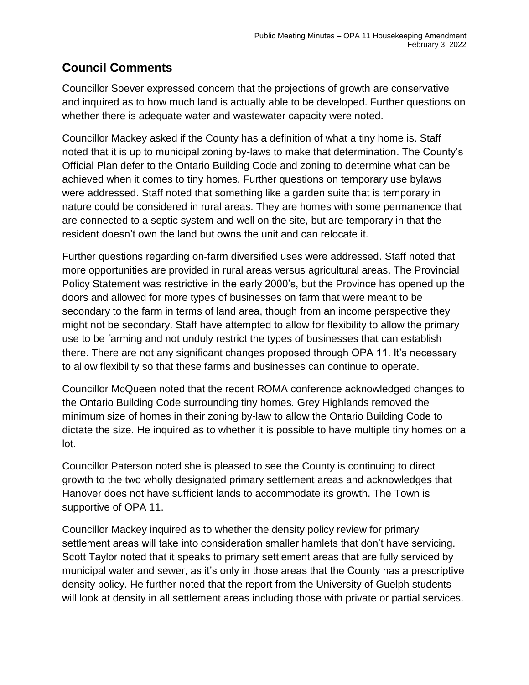### **Council Comments**

Councillor Soever expressed concern that the projections of growth are conservative and inquired as to how much land is actually able to be developed. Further questions on whether there is adequate water and wastewater capacity were noted.

Councillor Mackey asked if the County has a definition of what a tiny home is. Staff noted that it is up to municipal zoning by-laws to make that determination. The County's Official Plan defer to the Ontario Building Code and zoning to determine what can be achieved when it comes to tiny homes. Further questions on temporary use bylaws were addressed. Staff noted that something like a garden suite that is temporary in nature could be considered in rural areas. They are homes with some permanence that are connected to a septic system and well on the site, but are temporary in that the resident doesn't own the land but owns the unit and can relocate it.

Further questions regarding on-farm diversified uses were addressed. Staff noted that more opportunities are provided in rural areas versus agricultural areas. The Provincial Policy Statement was restrictive in the early 2000's, but the Province has opened up the doors and allowed for more types of businesses on farm that were meant to be secondary to the farm in terms of land area, though from an income perspective they might not be secondary. Staff have attempted to allow for flexibility to allow the primary use to be farming and not unduly restrict the types of businesses that can establish there. There are not any significant changes proposed through OPA 11. It's necessary to allow flexibility so that these farms and businesses can continue to operate.

Councillor McQueen noted that the recent ROMA conference acknowledged changes to the Ontario Building Code surrounding tiny homes. Grey Highlands removed the minimum size of homes in their zoning by-law to allow the Ontario Building Code to dictate the size. He inquired as to whether it is possible to have multiple tiny homes on a lot.

Councillor Paterson noted she is pleased to see the County is continuing to direct growth to the two wholly designated primary settlement areas and acknowledges that Hanover does not have sufficient lands to accommodate its growth. The Town is supportive of OPA 11.

Councillor Mackey inquired as to whether the density policy review for primary settlement areas will take into consideration smaller hamlets that don't have servicing. Scott Taylor noted that it speaks to primary settlement areas that are fully serviced by municipal water and sewer, as it's only in those areas that the County has a prescriptive density policy. He further noted that the report from the University of Guelph students will look at density in all settlement areas including those with private or partial services.